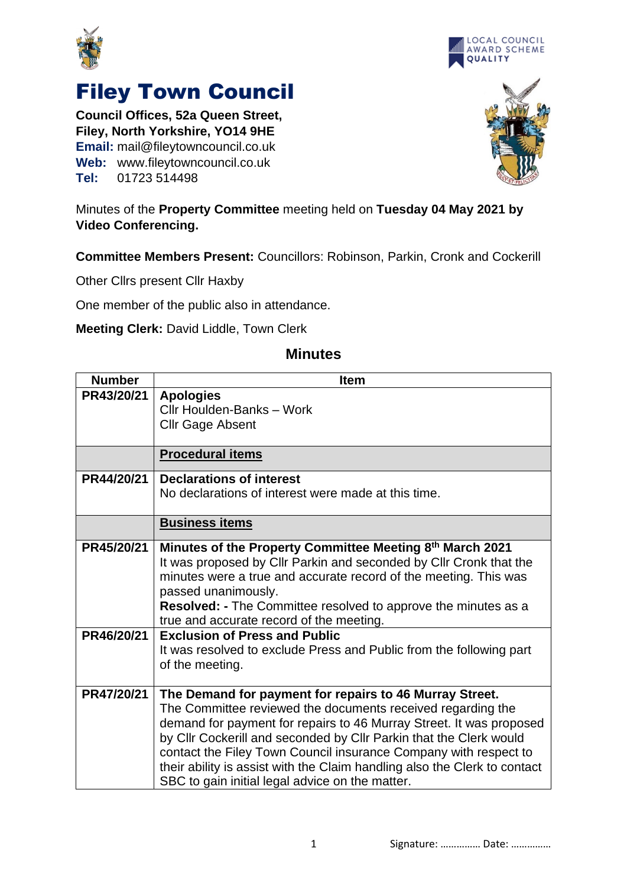



## Filey Town Council

**Council Offices, 52a Queen Street, Filey, North Yorkshire, YO14 9HE Email:** mail@fileytowncouncil.co.uk **Web:** www.fileytowncouncil.co.uk **Tel:** 01723 514498



## Minutes of the **Property Committee** meeting held on **Tuesday 04 May 2021 by Video Conferencing.**

**Committee Members Present:** Councillors: Robinson, Parkin, Cronk and Cockerill

Other Cllrs present Cllr Haxby

One member of the public also in attendance.

**Meeting Clerk:** David Liddle, Town Clerk

## **Number Item PR43/20/21 Apologies** Cllr Houlden-Banks – Work Cllr Gage Absent **Procedural items PR44/20/21 Declarations of interest** No declarations of interest were made at this time. **Business items PR45/20/21 Minutes of the Property Committee Meeting 8 th March 2021** It was proposed by Cllr Parkin and seconded by Cllr Cronk that the minutes were a true and accurate record of the meeting. This was passed unanimously. **Resolved: -** The Committee resolved to approve the minutes as a true and accurate record of the meeting. **PR46/20/21 Exclusion of Press and Public** It was resolved to exclude Press and Public from the following part of the meeting. **PR47/20/21 The Demand for payment for repairs to 46 Murray Street.** The Committee reviewed the documents received regarding the demand for payment for repairs to 46 Murray Street. It was proposed by Cllr Cockerill and seconded by Cllr Parkin that the Clerk would contact the Filey Town Council insurance Company with respect to their ability is assist with the Claim handling also the Clerk to contact SBC to gain initial legal advice on the matter.

## **Minutes**